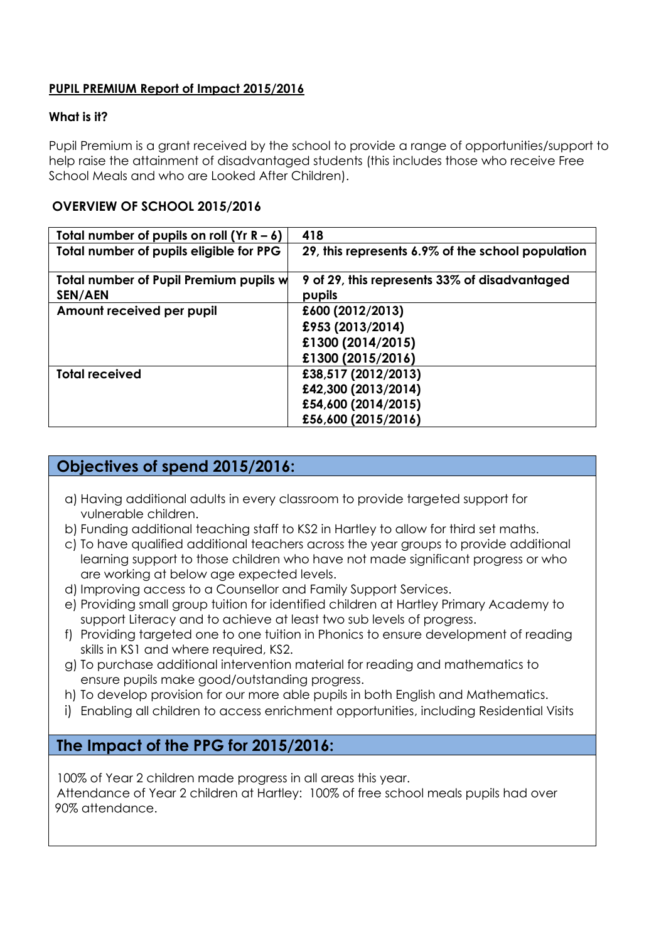### **PUPIL PREMIUM Report of Impact 2015/2016**

#### **What is it?**

Pupil Premium is a grant received by the school to provide a range of opportunities/support to help raise the attainment of disadvantaged students (this includes those who receive Free School Meals and who are Looked After Children).

### **OVERVIEW OF SCHOOL 2015/2016**

| Total number of pupils on roll (Yr $R - 6$ ) | 418                                               |
|----------------------------------------------|---------------------------------------------------|
| Total number of pupils eligible for PPG      | 29, this represents 6.9% of the school population |
| Total number of Pupil Premium pupils w       | 9 of 29, this represents 33% of disadvantaged     |
| <b>SEN/AEN</b>                               | pupils                                            |
| Amount received per pupil                    | £600 (2012/2013)                                  |
|                                              | £953 (2013/2014)                                  |
|                                              | £1300 (2014/2015)                                 |
|                                              | £1300 (2015/2016)                                 |
| <b>Total received</b>                        | £38,517 (2012/2013)                               |
|                                              | £42,300 (2013/2014)                               |
|                                              | £54,600 (2014/2015)                               |
|                                              | £56,600 (2015/2016)                               |

# **Objectives of spend 2015/2016:**

- a) Having additional adults in every classroom to provide targeted support for vulnerable children.
- b) Funding additional teaching staff to KS2 in Hartley to allow for third set maths.
- c) To have qualified additional teachers across the year groups to provide additional learning support to those children who have not made significant progress or who are working at below age expected levels.
- d) Improving access to a Counsellor and Family Support Services.
- e) Providing small group tuition for identified children at Hartley Primary Academy to support Literacy and to achieve at least two sub levels of progress.
- f) Providing targeted one to one tuition in Phonics to ensure development of reading skills in KS1 and where required, KS2.
- g) To purchase additional intervention material for reading and mathematics to ensure pupils make good/outstanding progress.
- h) To develop provision for our more able pupils in both English and Mathematics.
- i) Enabling all children to access enrichment opportunities, including Residential Visits

### **The Impact of the PPG for 2015/2016:**

100% of Year 2 children made progress in all areas this year. Attendance of Year 2 children at Hartley: 100% of free school meals pupils had over 90% attendance.